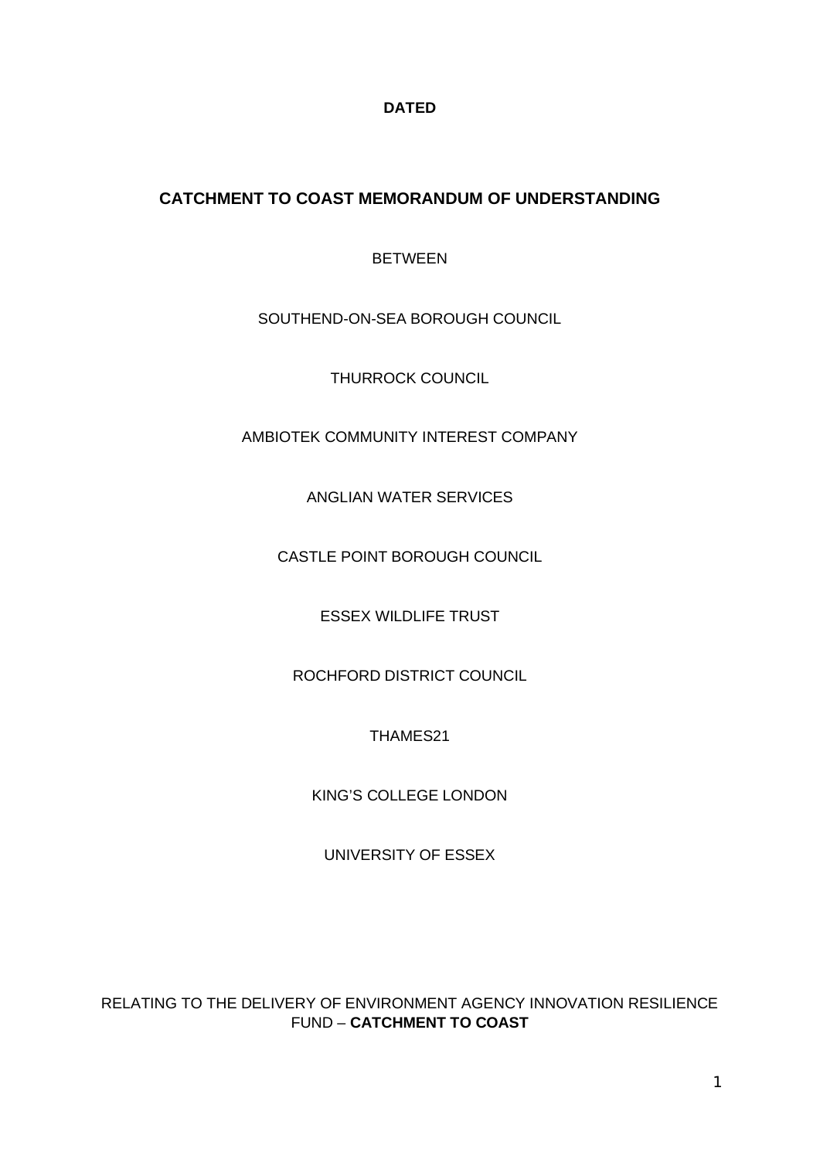**DATED**

# **CATCHMENT TO COAST MEMORANDUM OF UNDERSTANDING**

BETWEEN

SOUTHEND-ON-SEA BOROUGH COUNCIL

THURROCK COUNCIL

AMBIOTEK COMMUNITY INTEREST COMPANY

ANGLIAN WATER SERVICES

CASTLE POINT BOROUGH COUNCIL

ESSEX WILDLIFE TRUST

ROCHFORD DISTRICT COUNCIL

THAMES21

KING'S COLLEGE LONDON

UNIVERSITY OF ESSEX

RELATING TO THE DELIVERY OF ENVIRONMENT AGENCY INNOVATION RESILIENCE FUND – **CATCHMENT TO COAST**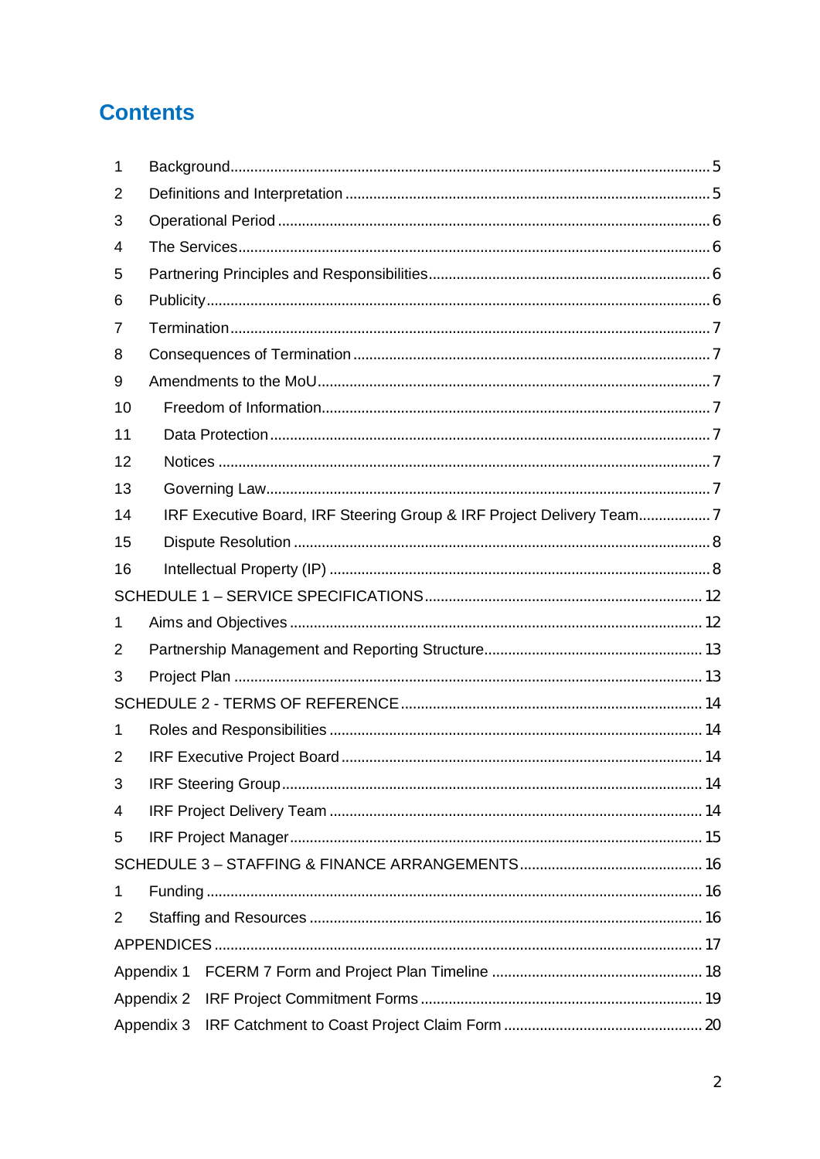# **Contents**

| 1  |  |                                                                      |  |  |  |
|----|--|----------------------------------------------------------------------|--|--|--|
| 2  |  |                                                                      |  |  |  |
| 3  |  |                                                                      |  |  |  |
| 4  |  |                                                                      |  |  |  |
| 5  |  |                                                                      |  |  |  |
| 6  |  |                                                                      |  |  |  |
| 7  |  |                                                                      |  |  |  |
| 8  |  |                                                                      |  |  |  |
| 9  |  |                                                                      |  |  |  |
| 10 |  |                                                                      |  |  |  |
| 11 |  |                                                                      |  |  |  |
| 12 |  |                                                                      |  |  |  |
| 13 |  |                                                                      |  |  |  |
| 14 |  | IRF Executive Board, IRF Steering Group & IRF Project Delivery Team7 |  |  |  |
| 15 |  |                                                                      |  |  |  |
| 16 |  |                                                                      |  |  |  |
|    |  |                                                                      |  |  |  |
| 1  |  |                                                                      |  |  |  |
| 2  |  |                                                                      |  |  |  |
| 3  |  |                                                                      |  |  |  |
|    |  |                                                                      |  |  |  |
| 1  |  |                                                                      |  |  |  |
| 2  |  |                                                                      |  |  |  |
| 3  |  |                                                                      |  |  |  |
| 4  |  |                                                                      |  |  |  |
| 5  |  |                                                                      |  |  |  |
|    |  |                                                                      |  |  |  |
| 1  |  |                                                                      |  |  |  |
| 2  |  |                                                                      |  |  |  |
|    |  |                                                                      |  |  |  |
|    |  |                                                                      |  |  |  |
|    |  |                                                                      |  |  |  |
|    |  |                                                                      |  |  |  |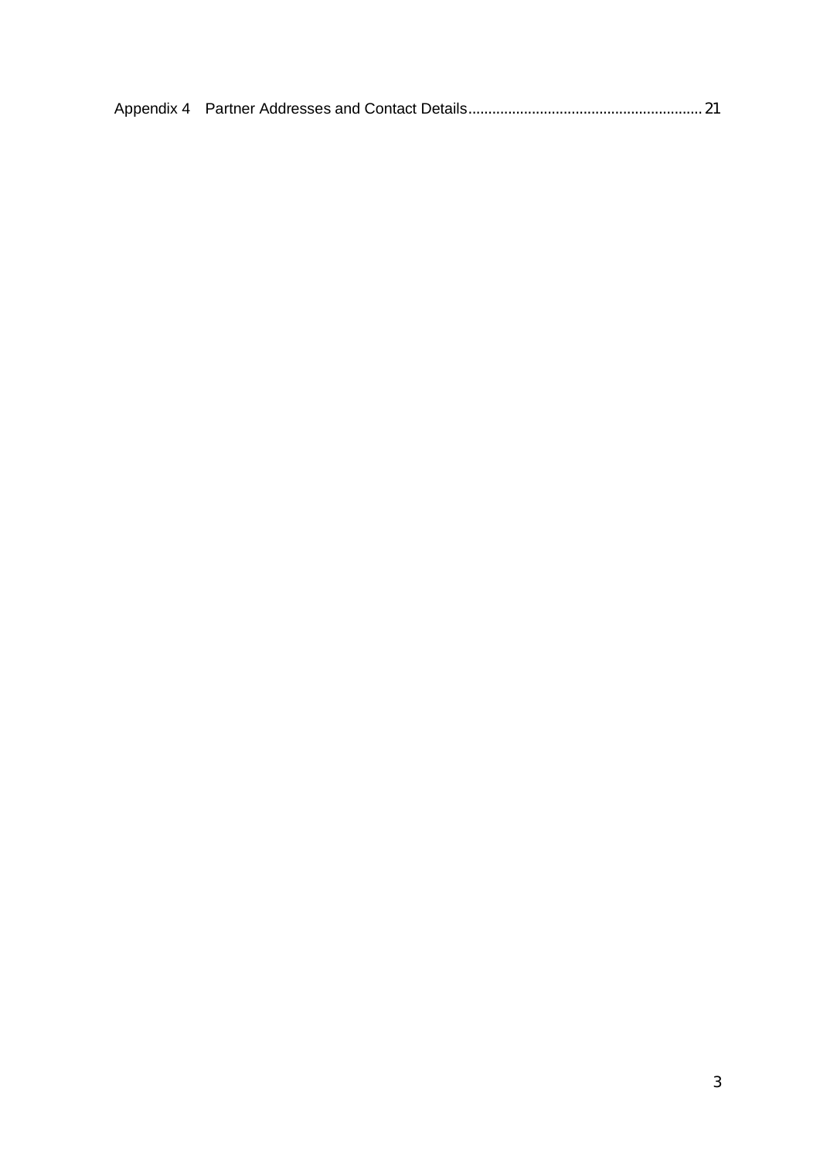|--|--|--|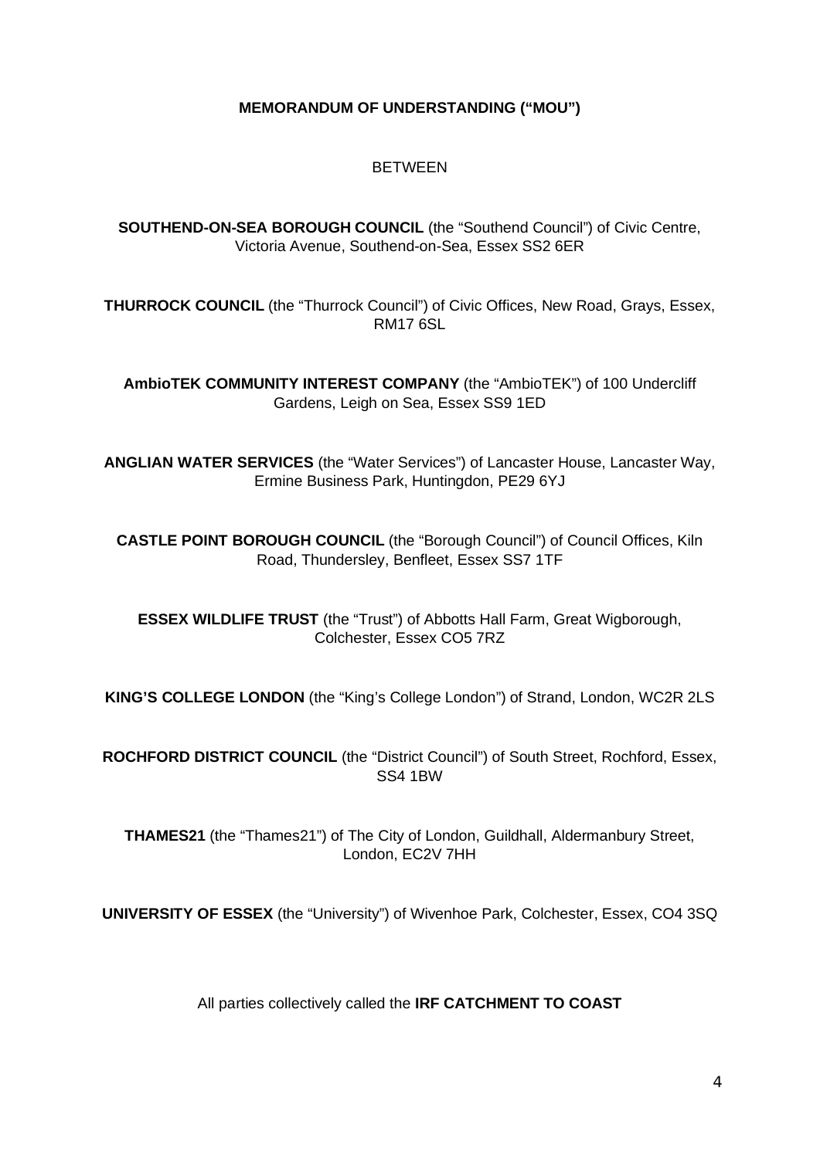### **MEMORANDUM OF UNDERSTANDING ("MOU")**

### **BETWEEN**

**SOUTHEND-ON-SEA BOROUGH COUNCIL** (the "Southend Council") of Civic Centre, Victoria Avenue, Southend-on-Sea, Essex SS2 6ER

**THURROCK COUNCIL** (the "Thurrock Council") of Civic Offices, New Road, Grays, Essex, RM17 6SL

**AmbioTEK COMMUNITY INTEREST COMPANY** (the "AmbioTEK") of 100 Undercliff Gardens, Leigh on Sea, Essex SS9 1ED

**ANGLIAN WATER SERVICES** (the "Water Services") of Lancaster House, Lancaster Way, Ermine Business Park, Huntingdon, PE29 6YJ

**CASTLE POINT BOROUGH COUNCIL** (the "Borough Council") of Council Offices, Kiln Road, Thundersley, Benfleet, Essex SS7 1TF

**ESSEX WILDLIFE TRUST** (the "Trust") of Abbotts Hall Farm, Great Wigborough, Colchester, Essex CO5 7RZ

**KING'S COLLEGE LONDON** (the "King's College London") of Strand, London, WC2R 2LS

**ROCHFORD DISTRICT COUNCIL** (the "District Council") of South Street, Rochford, Essex, SS4 1BW

**THAMES21** (the "Thames21") of The City of London, Guildhall, Aldermanbury Street, London, EC2V 7HH

**UNIVERSITY OF ESSEX** (the "University") of Wivenhoe Park, Colchester, Essex, CO4 3SQ

All parties collectively called the **IRF CATCHMENT TO COAST**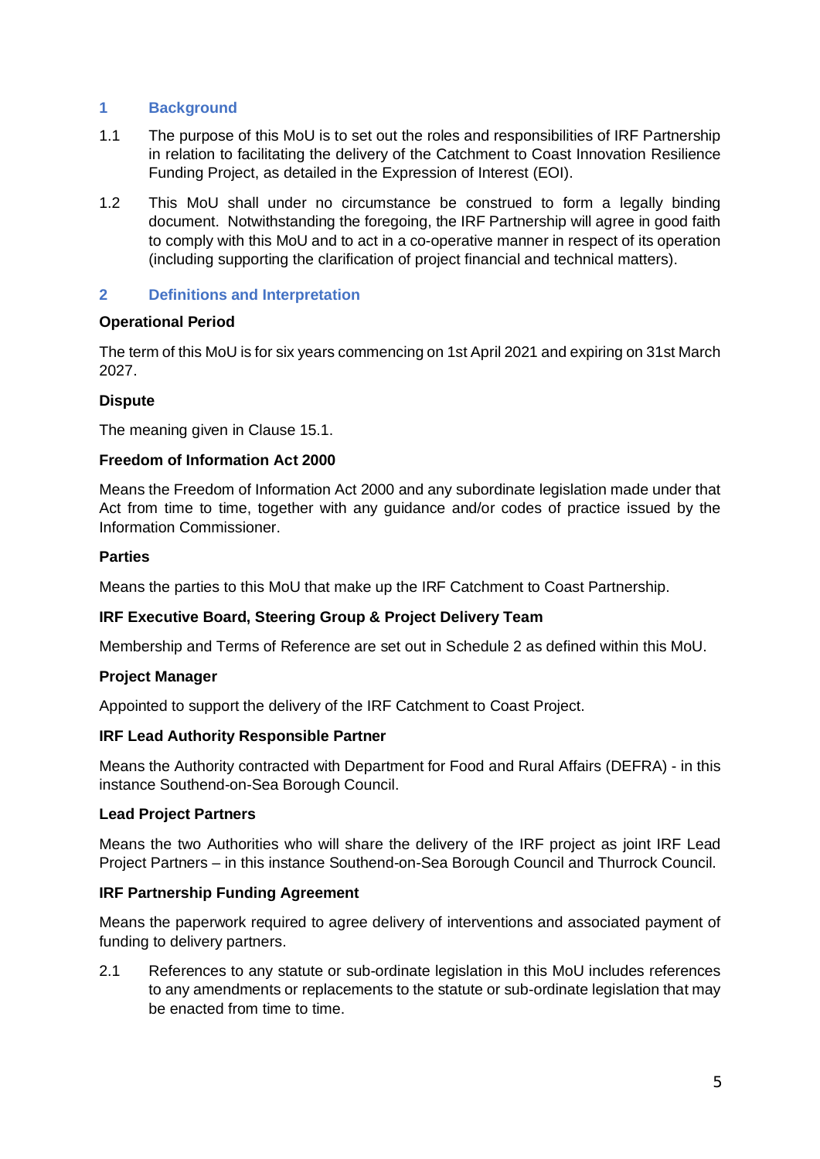### **1 Background**

- 1.1 The purpose of this MoU is to set out the roles and responsibilities of IRF Partnership in relation to facilitating the delivery of the Catchment to Coast Innovation Resilience Funding Project, as detailed in the Expression of Interest (EOI).
- 1.2 This MoU shall under no circumstance be construed to form a legally binding document. Notwithstanding the foregoing, the IRF Partnership will agree in good faith to comply with this MoU and to act in a co-operative manner in respect of its operation (including supporting the clarification of project financial and technical matters).

### **2 Definitions and Interpretation**

### **Operational Period**

The term of this MoU is for six years commencing on 1st April 2021 and expiring on 31st March 2027.

### **Dispute**

The meaning given in Clause 15.1.

### **Freedom of Information Act 2000**

Means the Freedom of Information Act 2000 and any subordinate legislation made under that Act from time to time, together with any guidance and/or codes of practice issued by the Information Commissioner.

### **Parties**

Means the parties to this MoU that make up the IRF Catchment to Coast Partnership.

### **IRF Executive Board, Steering Group & Project Delivery Team**

Membership and Terms of Reference are set out in Schedule 2 as defined within this MoU.

### **Project Manager**

Appointed to support the delivery of the IRF Catchment to Coast Project.

### **IRF Lead Authority Responsible Partner**

Means the Authority contracted with Department for Food and Rural Affairs (DEFRA) - in this instance Southend-on-Sea Borough Council.

### **Lead Project Partners**

Means the two Authorities who will share the delivery of the IRF project as joint IRF Lead Project Partners – in this instance Southend-on-Sea Borough Council and Thurrock Council.

### **IRF Partnership Funding Agreement**

Means the paperwork required to agree delivery of interventions and associated payment of funding to delivery partners.

2.1 References to any statute or sub-ordinate legislation in this MoU includes references to any amendments or replacements to the statute or sub-ordinate legislation that may be enacted from time to time.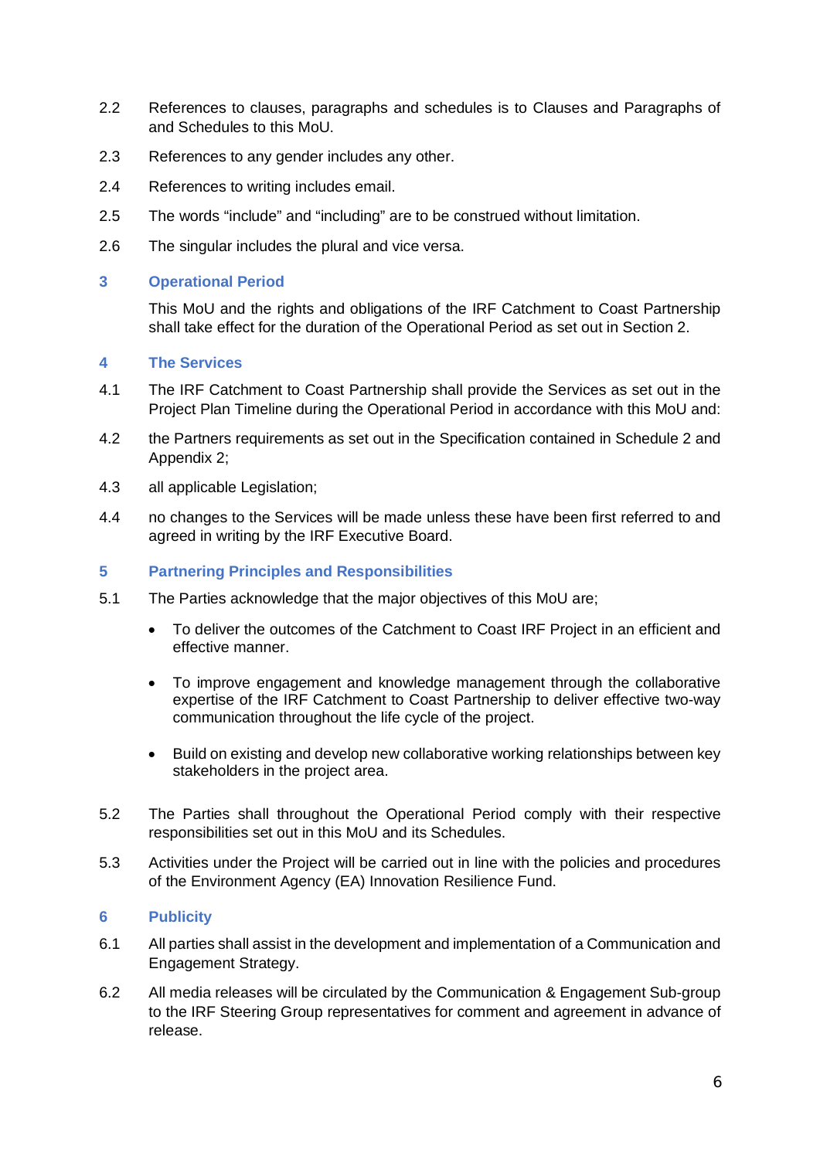- 2.2 References to clauses, paragraphs and schedules is to Clauses and Paragraphs of and Schedules to this MoU.
- 2.3 References to any gender includes any other.
- 2.4 References to writing includes email.
- 2.5 The words "include" and "including" are to be construed without limitation.
- 2.6 The singular includes the plural and vice versa.

#### **3 Operational Period**

This MoU and the rights and obligations of the IRF Catchment to Coast Partnership shall take effect for the duration of the Operational Period as set out in Section 2.

#### **4 The Services**

- 4.1 The IRF Catchment to Coast Partnership shall provide the Services as set out in the Project Plan Timeline during the Operational Period in accordance with this MoU and:
- 4.2 the Partners requirements as set out in the Specification contained in Schedule 2 and Appendix 2;
- 4.3 all applicable Legislation;
- 4.4 no changes to the Services will be made unless these have been first referred to and agreed in writing by the IRF Executive Board.

### **5 Partnering Principles and Responsibilities**

- 5.1 The Parties acknowledge that the major objectives of this MoU are;
	- To deliver the outcomes of the Catchment to Coast IRF Project in an efficient and effective manner.
	- To improve engagement and knowledge management through the collaborative expertise of the IRF Catchment to Coast Partnership to deliver effective two-way communication throughout the life cycle of the project.
	- Build on existing and develop new collaborative working relationships between key stakeholders in the project area.
- 5.2 The Parties shall throughout the Operational Period comply with their respective responsibilities set out in this MoU and its Schedules.
- 5.3 Activities under the Project will be carried out in line with the policies and procedures of the Environment Agency (EA) Innovation Resilience Fund.

### **6 Publicity**

- 6.1 All parties shall assist in the development and implementation of a Communication and Engagement Strategy.
- 6.2 All media releases will be circulated by the Communication & Engagement Sub-group to the IRF Steering Group representatives for comment and agreement in advance of release.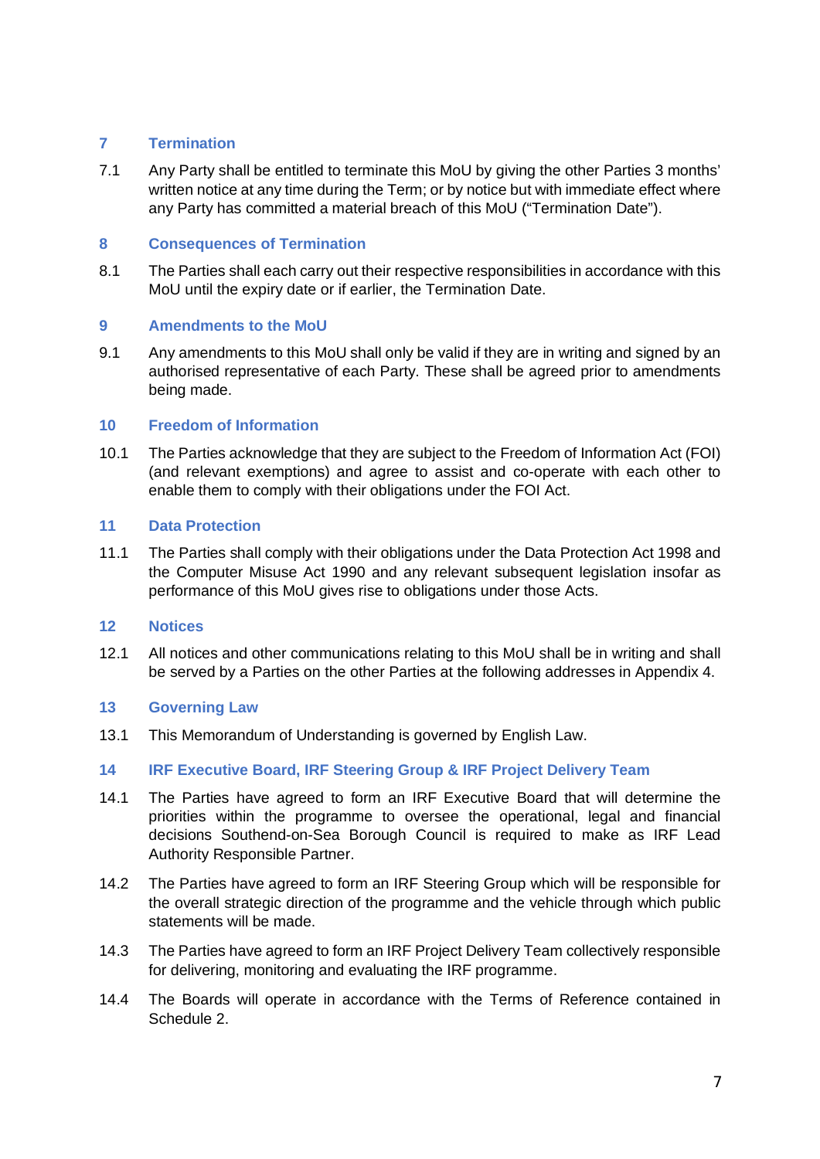### **7 Termination**

7.1 Any Party shall be entitled to terminate this MoU by giving the other Parties 3 months' written notice at any time during the Term; or by notice but with immediate effect where any Party has committed a material breach of this MoU ("Termination Date").

### **8 Consequences of Termination**

8.1 The Parties shall each carry out their respective responsibilities in accordance with this MoU until the expiry date or if earlier, the Termination Date.

### **9 Amendments to the MoU**

9.1 Any amendments to this MoU shall only be valid if they are in writing and signed by an authorised representative of each Party. These shall be agreed prior to amendments being made.

#### **10 Freedom of Information**

10.1 The Parties acknowledge that they are subject to the Freedom of Information Act (FOI) (and relevant exemptions) and agree to assist and co-operate with each other to enable them to comply with their obligations under the FOI Act.

#### **11 Data Protection**

11.1 The Parties shall comply with their obligations under the Data Protection Act 1998 and the Computer Misuse Act 1990 and any relevant subsequent legislation insofar as performance of this MoU gives rise to obligations under those Acts.

#### **12 Notices**

12.1 All notices and other communications relating to this MoU shall be in writing and shall be served by a Parties on the other Parties at the following addresses in Appendix 4.

### **13 Governing Law**

13.1 This Memorandum of Understanding is governed by English Law.

### **14 IRF Executive Board, IRF Steering Group & IRF Project Delivery Team**

- 14.1 The Parties have agreed to form an IRF Executive Board that will determine the priorities within the programme to oversee the operational, legal and financial decisions Southend-on-Sea Borough Council is required to make as IRF Lead Authority Responsible Partner.
- 14.2 The Parties have agreed to form an IRF Steering Group which will be responsible for the overall strategic direction of the programme and the vehicle through which public statements will be made.
- 14.3 The Parties have agreed to form an IRF Project Delivery Team collectively responsible for delivering, monitoring and evaluating the IRF programme.
- 14.4 The Boards will operate in accordance with the Terms of Reference contained in Schedule 2.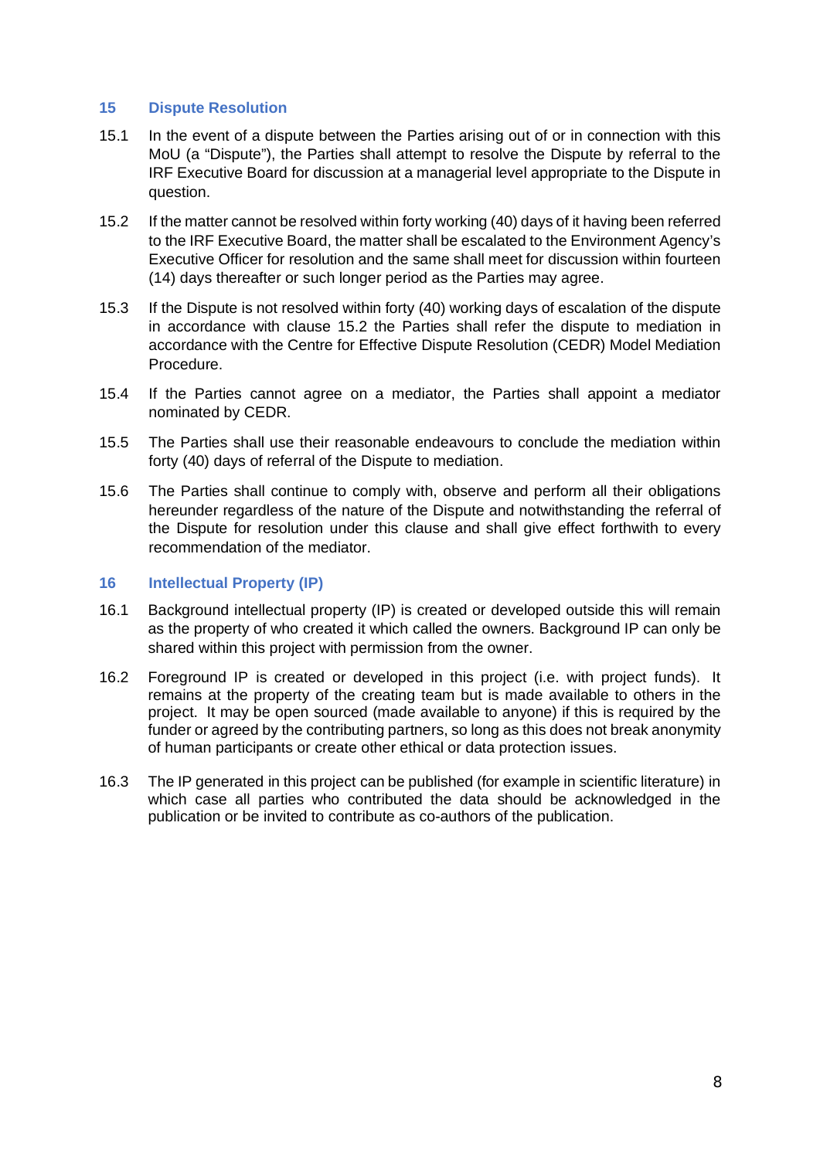#### **15 Dispute Resolution**

- 15.1 In the event of a dispute between the Parties arising out of or in connection with this MoU (a "Dispute"), the Parties shall attempt to resolve the Dispute by referral to the IRF Executive Board for discussion at a managerial level appropriate to the Dispute in question.
- 15.2 If the matter cannot be resolved within forty working (40) days of it having been referred to the IRF Executive Board, the matter shall be escalated to the Environment Agency's Executive Officer for resolution and the same shall meet for discussion within fourteen (14) days thereafter or such longer period as the Parties may agree.
- 15.3 If the Dispute is not resolved within forty (40) working days of escalation of the dispute in accordance with clause 15.2 the Parties shall refer the dispute to mediation in accordance with the Centre for Effective Dispute Resolution (CEDR) Model Mediation Procedure.
- 15.4 If the Parties cannot agree on a mediator, the Parties shall appoint a mediator nominated by CEDR.
- 15.5 The Parties shall use their reasonable endeavours to conclude the mediation within forty (40) days of referral of the Dispute to mediation.
- 15.6 The Parties shall continue to comply with, observe and perform all their obligations hereunder regardless of the nature of the Dispute and notwithstanding the referral of the Dispute for resolution under this clause and shall give effect forthwith to every recommendation of the mediator.

#### **16 Intellectual Property (IP)**

- 16.1 Background intellectual property (IP) is created or developed outside this will remain as the property of who created it which called the owners. Background IP can only be shared within this project with permission from the owner.
- 16.2 Foreground IP is created or developed in this project (i.e. with project funds). It remains at the property of the creating team but is made available to others in the project. It may be open sourced (made available to anyone) if this is required by the funder or agreed by the contributing partners, so long as this does not break anonymity of human participants or create other ethical or data protection issues.
- 16.3 The IP generated in this project can be published (for example in scientific literature) in which case all parties who contributed the data should be acknowledged in the publication or be invited to contribute as co-authors of the publication.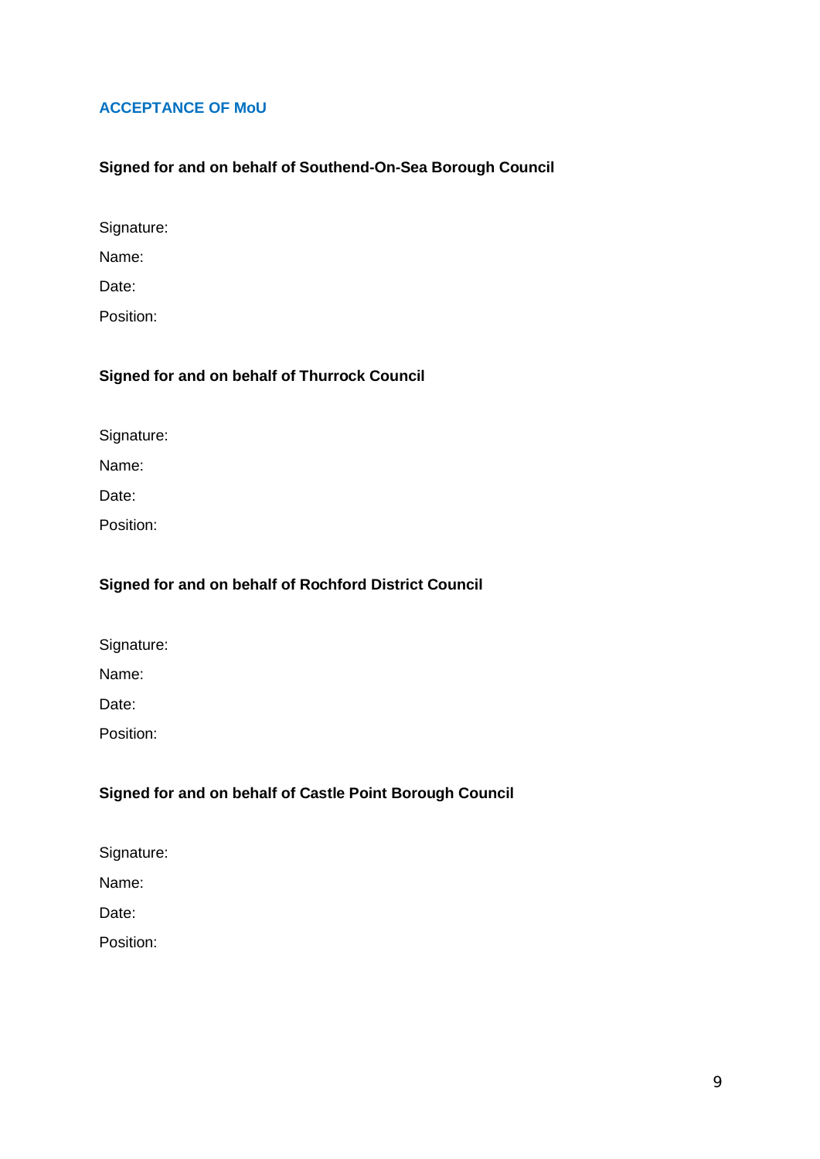### **ACCEPTANCE OF MoU**

### **Signed for and on behalf of Southend-On-Sea Borough Council**

Signature:

Name:

Date:

Position:

# **Signed for and on behalf of Thurrock Council**

Signature:

Name:

Date:

Position:

### **Signed for and on behalf of Rochford District Council**

Signature:

Name:

Date:

Position:

# **Signed for and on behalf of Castle Point Borough Council**

Signature:

Name:

Date:

Position: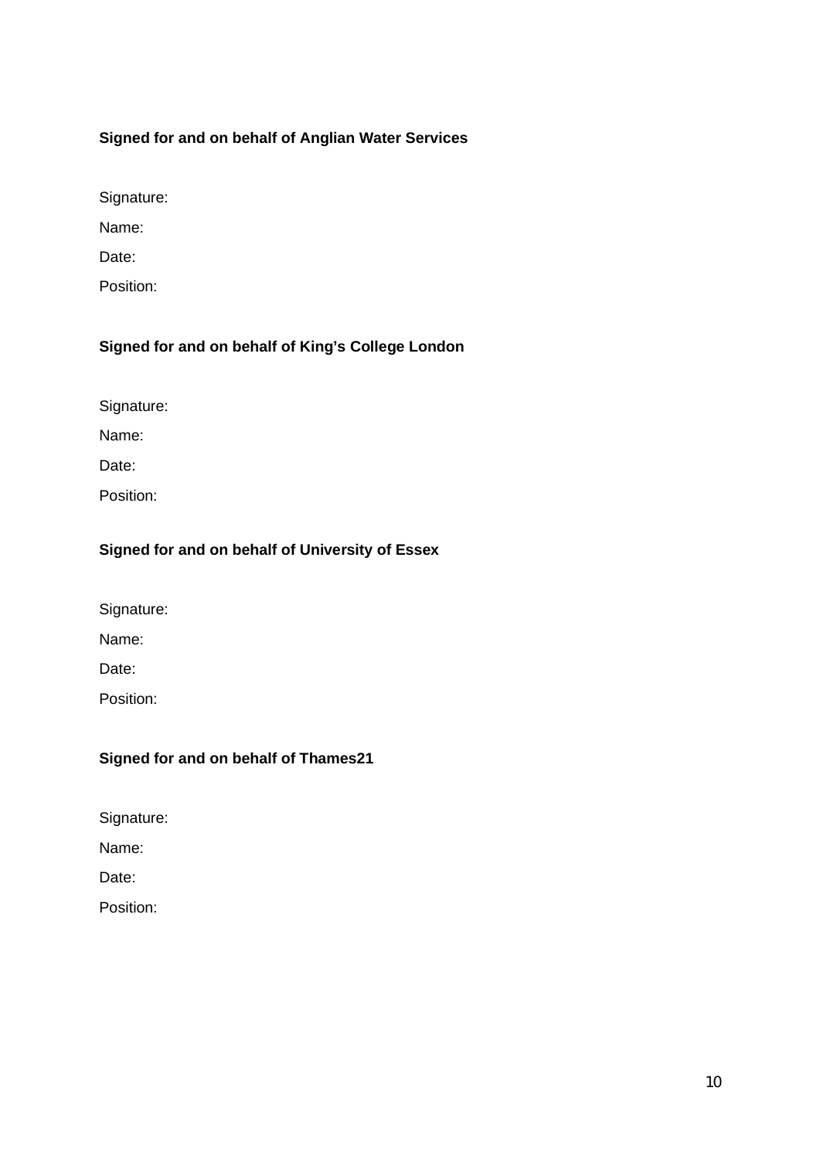# **Signed for and on behalf of Anglian Water Services**

Signature:

Name:

Date:

Position:

# **Signed for and on behalf of King's College London**

Signature:

Name:

Date:

Position:

### **Signed for and on behalf of University of Essex**

Signature:

Name:

Date:

Position:

### **Signed for and on behalf of Thames21**

Signature:

Name:

Date:

Position: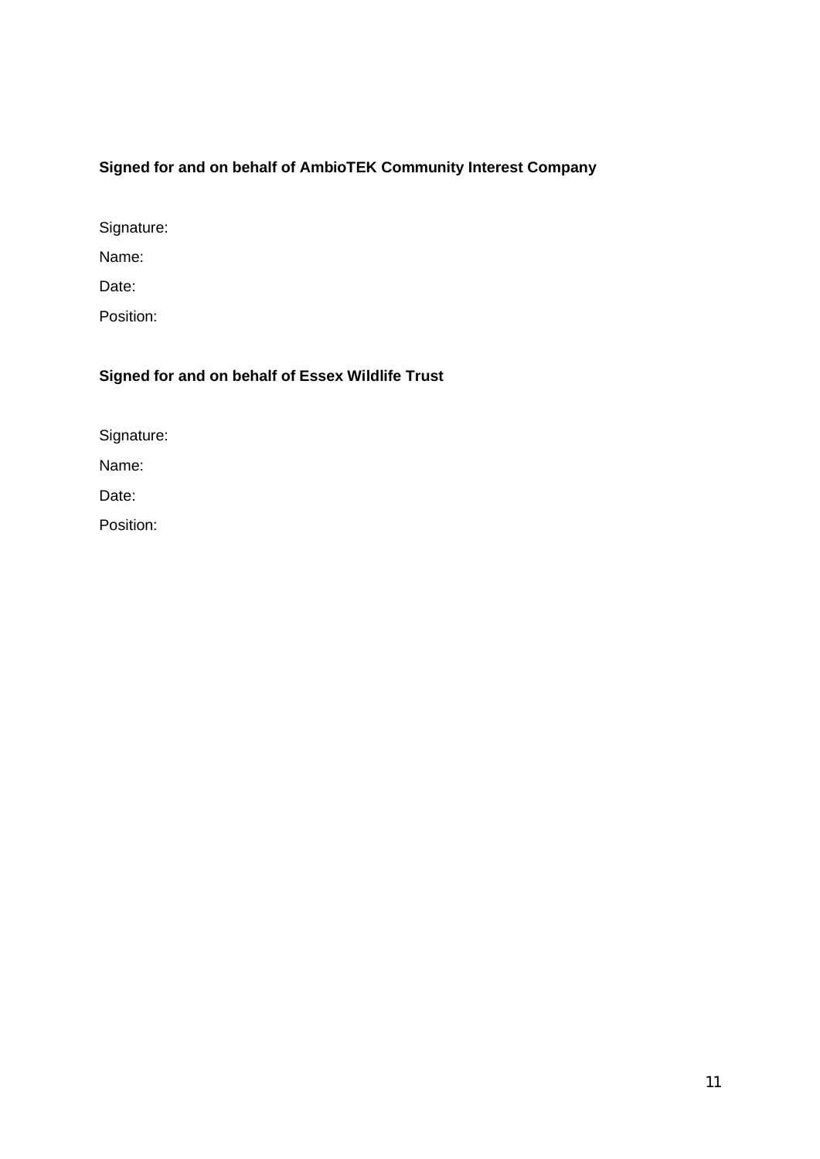# **Signed for and on behalf of AmbioTEK Community Interest Company**

Signature:

Name:

Date:

Position:

# **Signed for and on behalf of Essex Wildlife Trust**

Signature:

Name:

Date:

Position: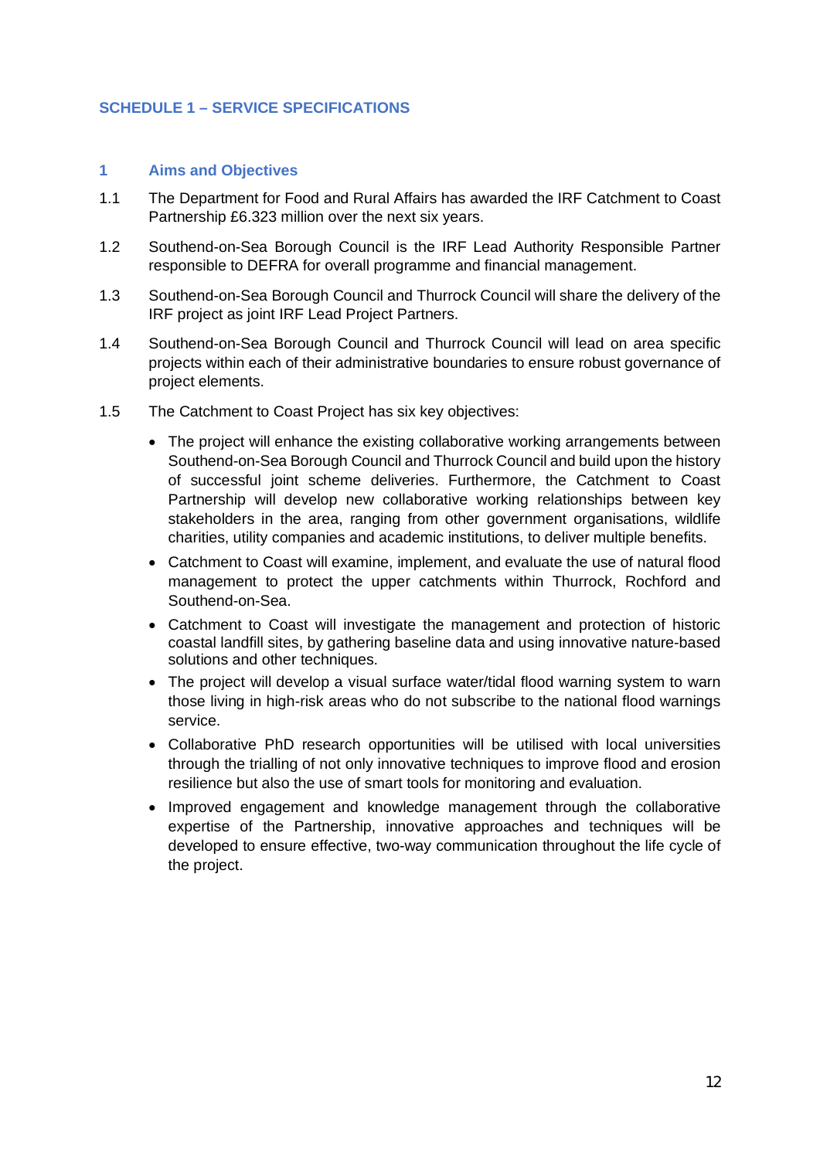### **SCHEDULE 1 – SERVICE SPECIFICATIONS**

#### **1 Aims and Objectives**

- 1.1 The Department for Food and Rural Affairs has awarded the IRF Catchment to Coast Partnership £6.323 million over the next six years.
- 1.2 Southend-on-Sea Borough Council is the IRF Lead Authority Responsible Partner responsible to DEFRA for overall programme and financial management.
- 1.3 Southend-on-Sea Borough Council and Thurrock Council will share the delivery of the IRF project as joint IRF Lead Project Partners.
- 1.4 Southend-on-Sea Borough Council and Thurrock Council will lead on area specific projects within each of their administrative boundaries to ensure robust governance of project elements.
- 1.5 The Catchment to Coast Project has six key objectives:
	- The project will enhance the existing collaborative working arrangements between Southend-on-Sea Borough Council and Thurrock Council and build upon the history of successful joint scheme deliveries. Furthermore, the Catchment to Coast Partnership will develop new collaborative working relationships between key stakeholders in the area, ranging from other government organisations, wildlife charities, utility companies and academic institutions, to deliver multiple benefits.
	- Catchment to Coast will examine, implement, and evaluate the use of natural flood management to protect the upper catchments within Thurrock, Rochford and Southend-on-Sea.
	- Catchment to Coast will investigate the management and protection of historic coastal landfill sites, by gathering baseline data and using innovative nature-based solutions and other techniques.
	- The project will develop a visual surface water/tidal flood warning system to warn those living in high-risk areas who do not subscribe to the national flood warnings service.
	- Collaborative PhD research opportunities will be utilised with local universities through the trialling of not only innovative techniques to improve flood and erosion resilience but also the use of smart tools for monitoring and evaluation.
	- Improved engagement and knowledge management through the collaborative expertise of the Partnership, innovative approaches and techniques will be developed to ensure effective, two-way communication throughout the life cycle of the project.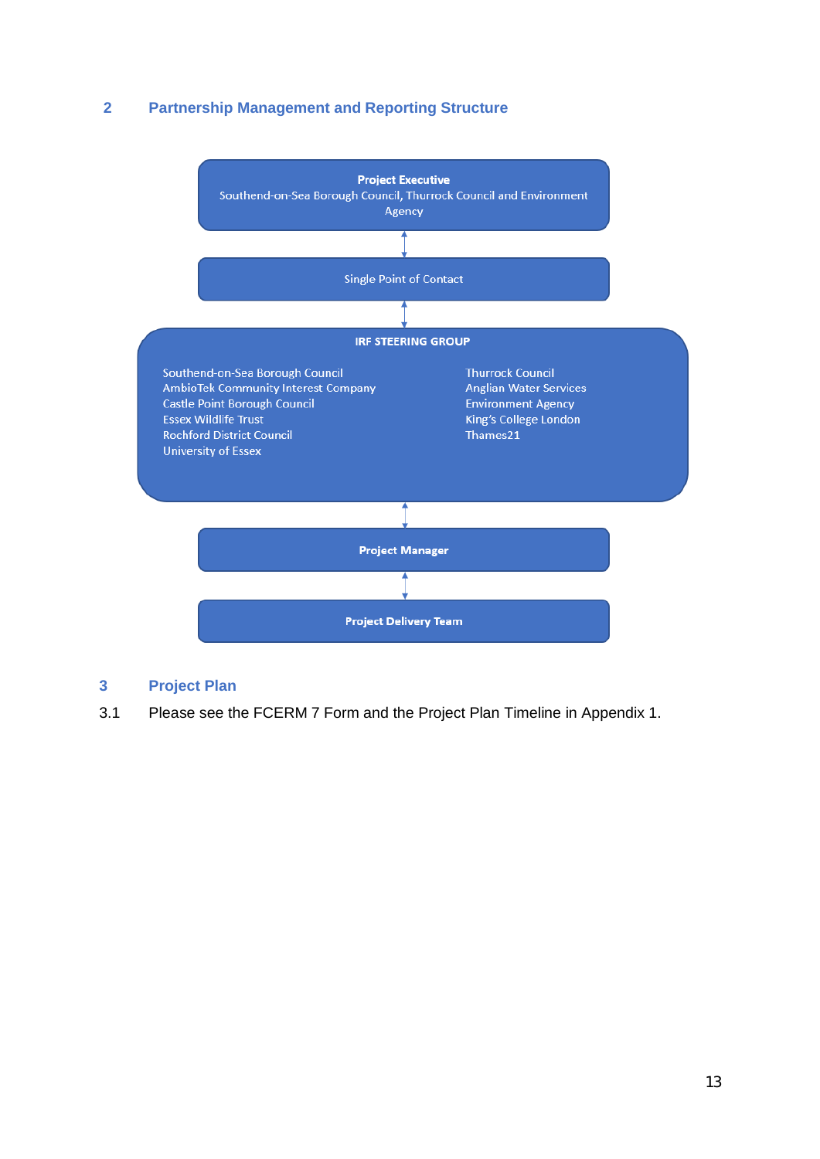### **2 Partnership Management and Reporting Structure**



### **3 Project Plan**

3.1 Please see the FCERM 7 Form and the Project Plan Timeline in Appendix 1.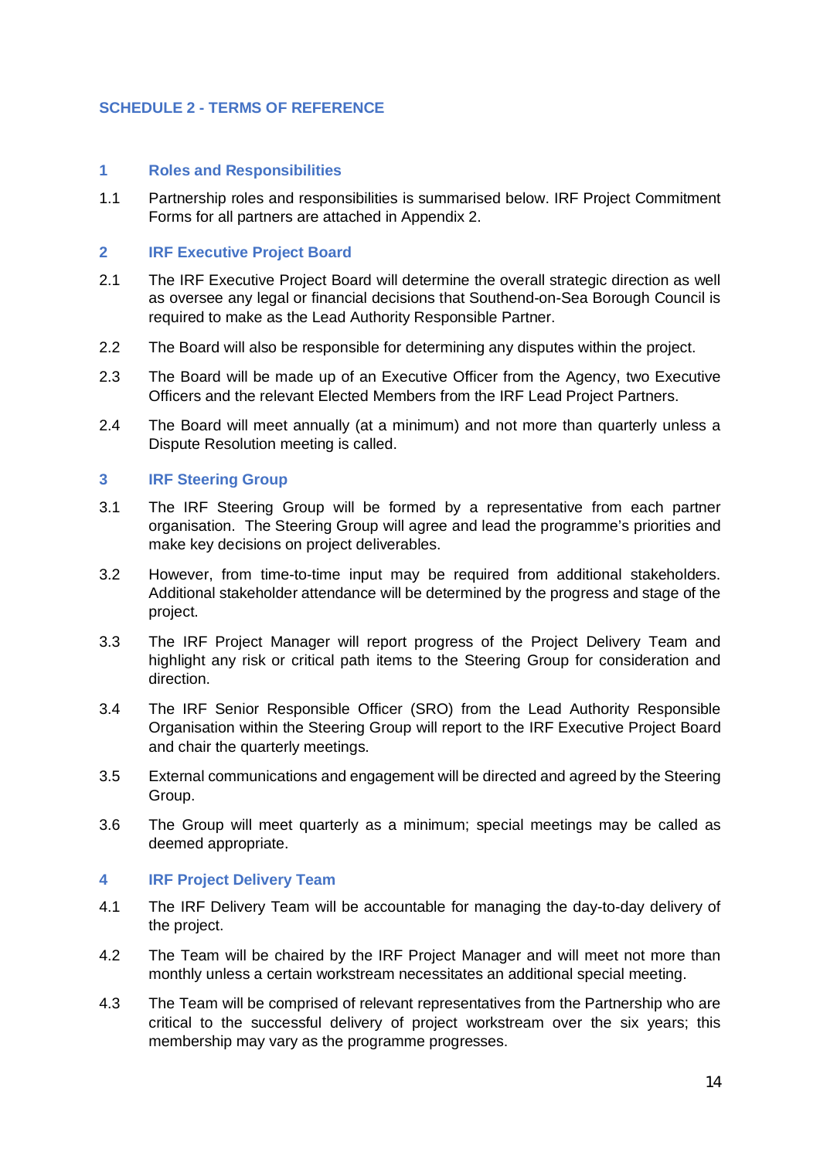### **SCHEDULE 2 - TERMS OF REFERENCE**

#### **1 Roles and Responsibilities**

1.1 Partnership roles and responsibilities is summarised below. IRF Project Commitment Forms for all partners are attached in Appendix 2.

### **2 IRF Executive Project Board**

- 2.1 The IRF Executive Project Board will determine the overall strategic direction as well as oversee any legal or financial decisions that Southend-on-Sea Borough Council is required to make as the Lead Authority Responsible Partner.
- 2.2 The Board will also be responsible for determining any disputes within the project.
- 2.3 The Board will be made up of an Executive Officer from the Agency, two Executive Officers and the relevant Elected Members from the IRF Lead Project Partners.
- 2.4 The Board will meet annually (at a minimum) and not more than quarterly unless a Dispute Resolution meeting is called.

### **3 IRF Steering Group**

- 3.1 The IRF Steering Group will be formed by a representative from each partner organisation. The Steering Group will agree and lead the programme's priorities and make key decisions on project deliverables.
- 3.2 However, from time-to-time input may be required from additional stakeholders. Additional stakeholder attendance will be determined by the progress and stage of the project.
- 3.3 The IRF Project Manager will report progress of the Project Delivery Team and highlight any risk or critical path items to the Steering Group for consideration and direction.
- 3.4 The IRF Senior Responsible Officer (SRO) from the Lead Authority Responsible Organisation within the Steering Group will report to the IRF Executive Project Board and chair the quarterly meetings.
- 3.5 External communications and engagement will be directed and agreed by the Steering Group.
- 3.6 The Group will meet quarterly as a minimum; special meetings may be called as deemed appropriate.

#### **4 IRF Project Delivery Team**

- 4.1 The IRF Delivery Team will be accountable for managing the day-to-day delivery of the project.
- 4.2 The Team will be chaired by the IRF Project Manager and will meet not more than monthly unless a certain workstream necessitates an additional special meeting.
- 4.3 The Team will be comprised of relevant representatives from the Partnership who are critical to the successful delivery of project workstream over the six years; this membership may vary as the programme progresses.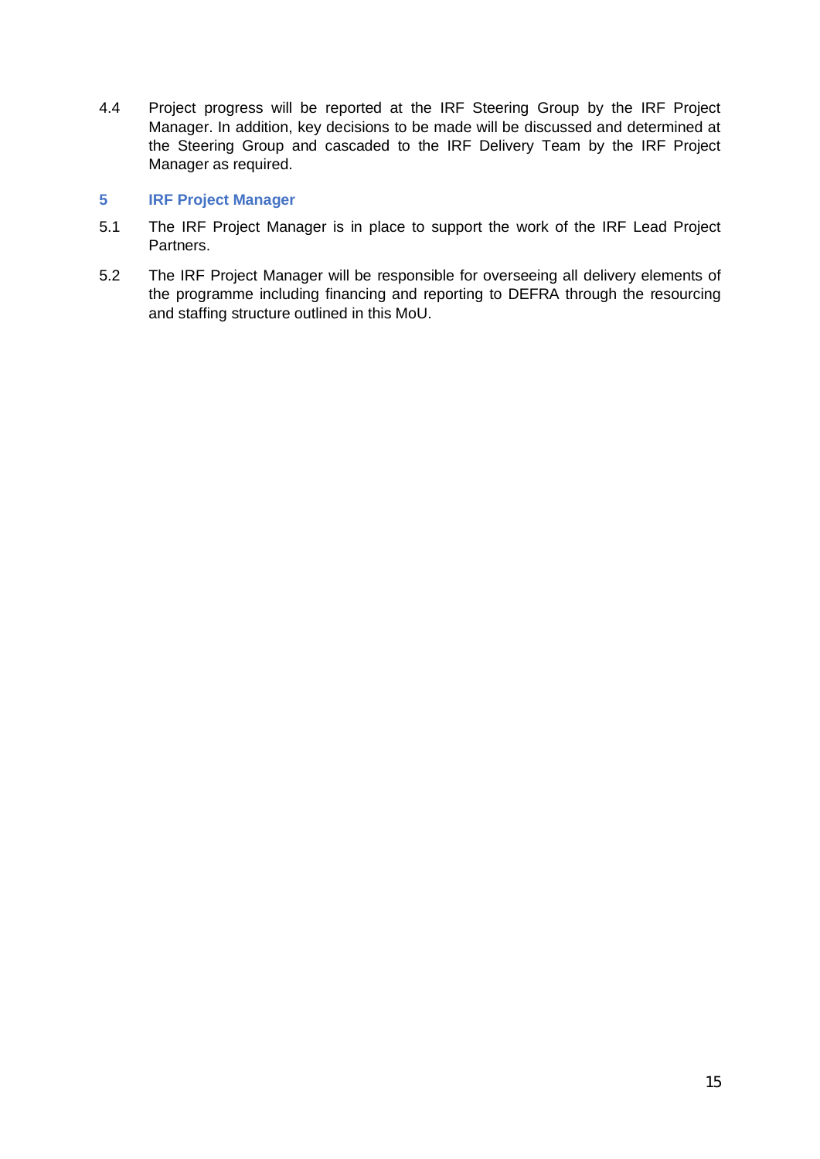4.4 Project progress will be reported at the IRF Steering Group by the IRF Project Manager. In addition, key decisions to be made will be discussed and determined at the Steering Group and cascaded to the IRF Delivery Team by the IRF Project Manager as required.

### **5 IRF Project Manager**

- 5.1 The IRF Project Manager is in place to support the work of the IRF Lead Project Partners.
- 5.2 The IRF Project Manager will be responsible for overseeing all delivery elements of the programme including financing and reporting to DEFRA through the resourcing and staffing structure outlined in this MoU.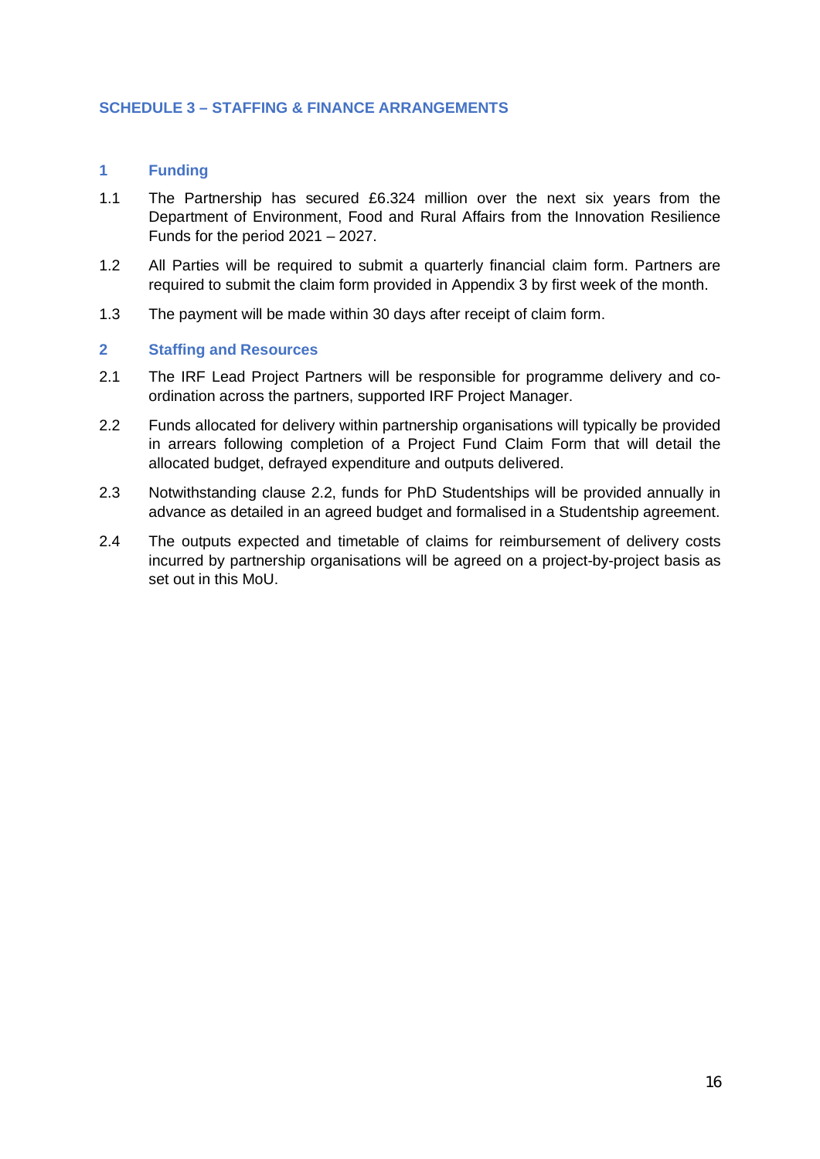### **SCHEDULE 3 – STAFFING & FINANCE ARRANGEMENTS**

### **1 Funding**

- 1.1 The Partnership has secured £6.324 million over the next six years from the Department of Environment, Food and Rural Affairs from the Innovation Resilience Funds for the period 2021 – 2027.
- 1.2 All Parties will be required to submit a quarterly financial claim form. Partners are required to submit the claim form provided in Appendix 3 by first week of the month.
- 1.3 The payment will be made within 30 days after receipt of claim form.

#### **2 Staffing and Resources**

- 2.1 The IRF Lead Project Partners will be responsible for programme delivery and coordination across the partners, supported IRF Project Manager.
- 2.2 Funds allocated for delivery within partnership organisations will typically be provided in arrears following completion of a Project Fund Claim Form that will detail the allocated budget, defrayed expenditure and outputs delivered.
- 2.3 Notwithstanding clause 2.2, funds for PhD Studentships will be provided annually in advance as detailed in an agreed budget and formalised in a Studentship agreement.
- 2.4 The outputs expected and timetable of claims for reimbursement of delivery costs incurred by partnership organisations will be agreed on a project-by-project basis as set out in this MoU.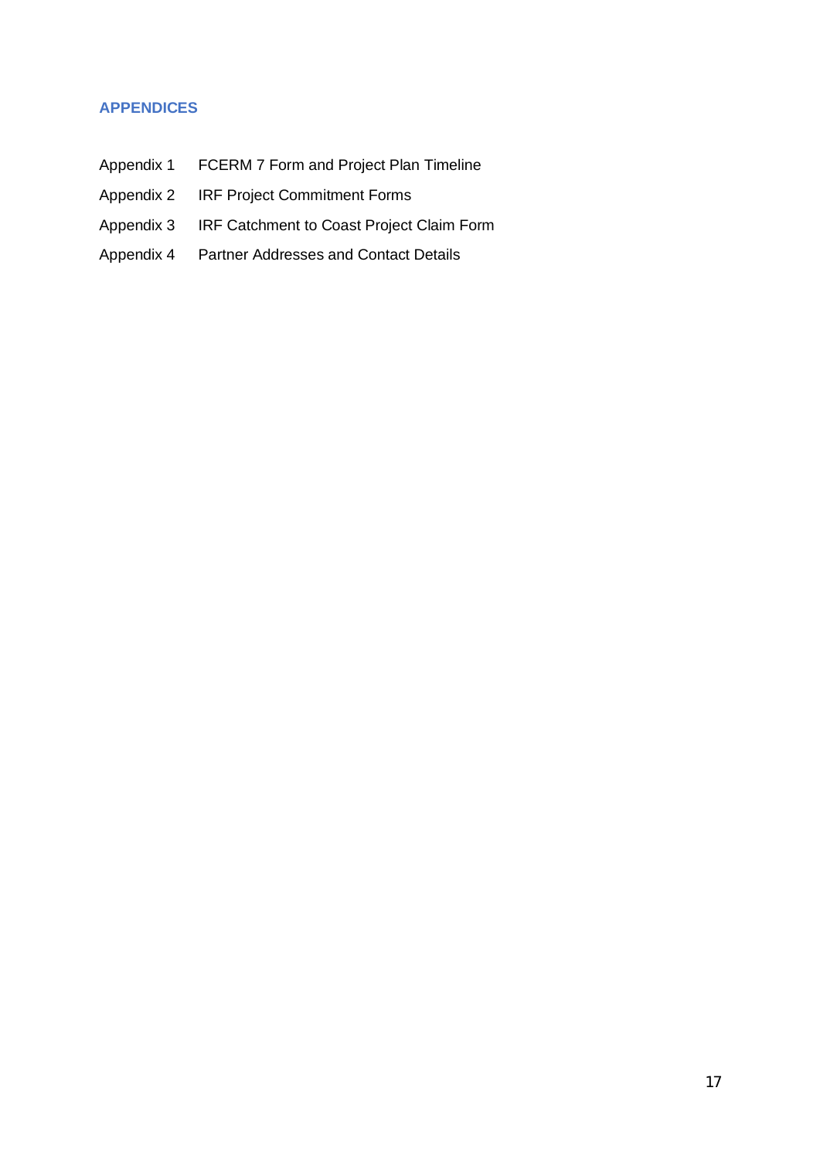### **APPENDICES**

- Appendix 1 FCERM 7 Form and Project Plan Timeline
- Appendix 2 IRF Project Commitment Forms
- Appendix 3 IRF Catchment to Coast Project Claim Form
- Appendix 4 Partner Addresses and Contact Details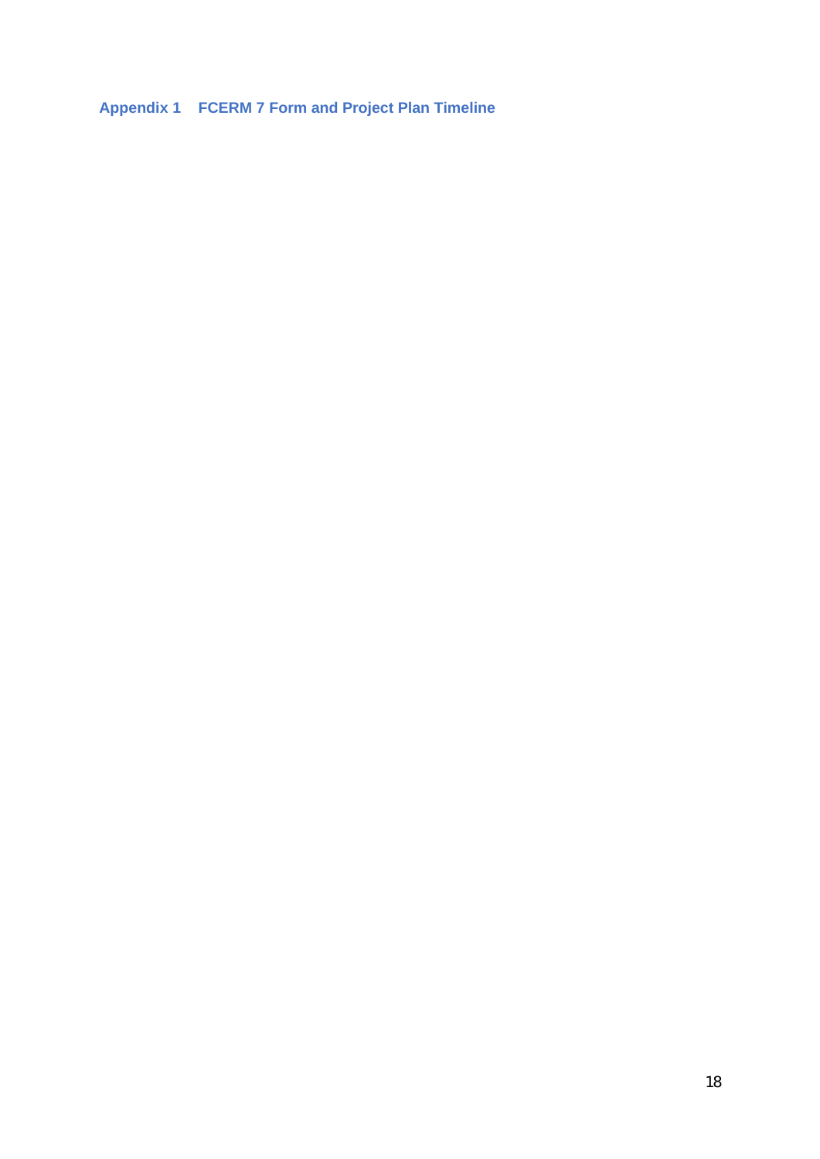**Appendix 1 FCERM 7 Form and Project Plan Timeline**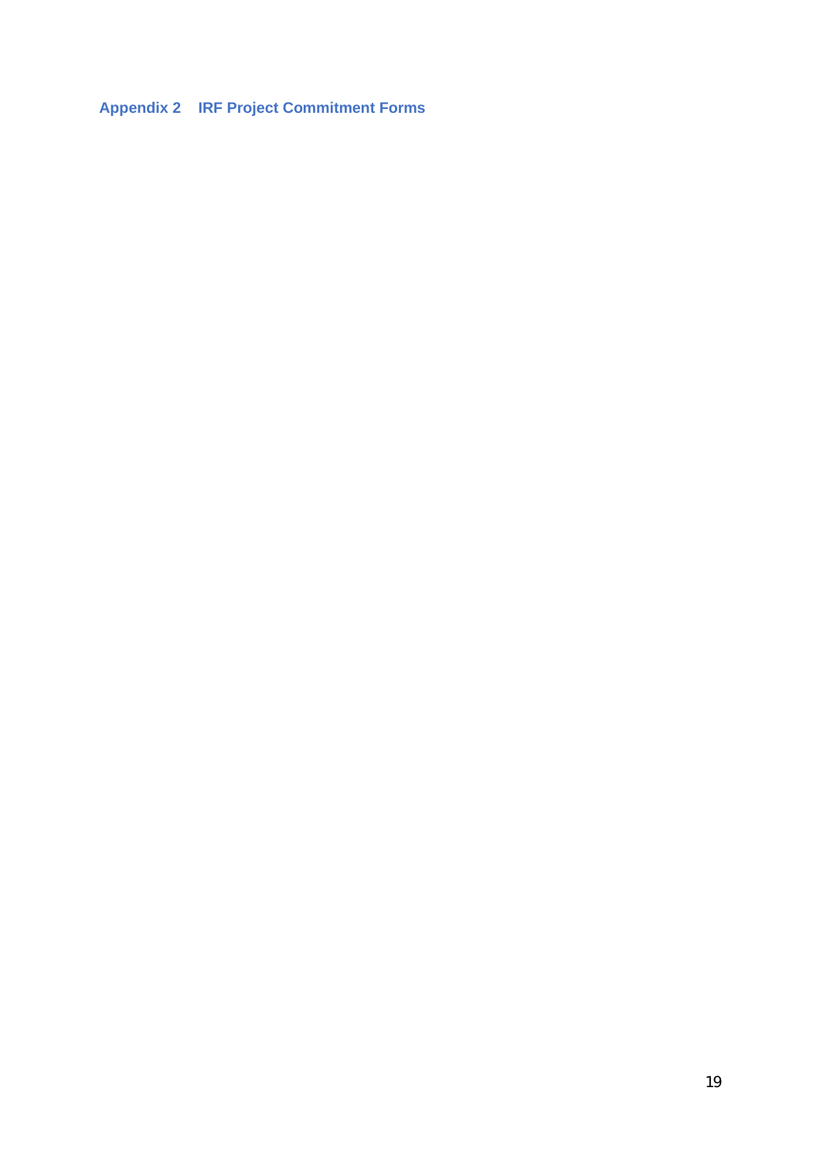**Appendix 2 IRF Project Commitment Forms**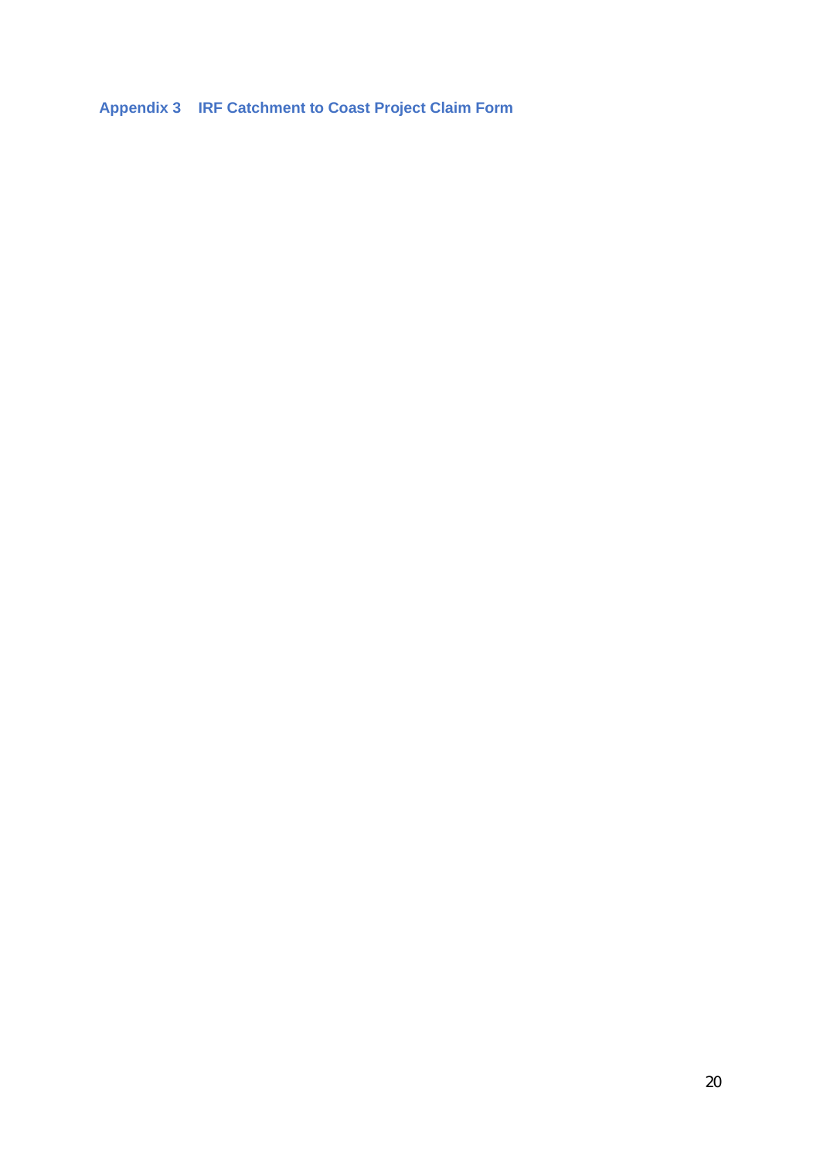**Appendix 3 IRF Catchment to Coast Project Claim Form**